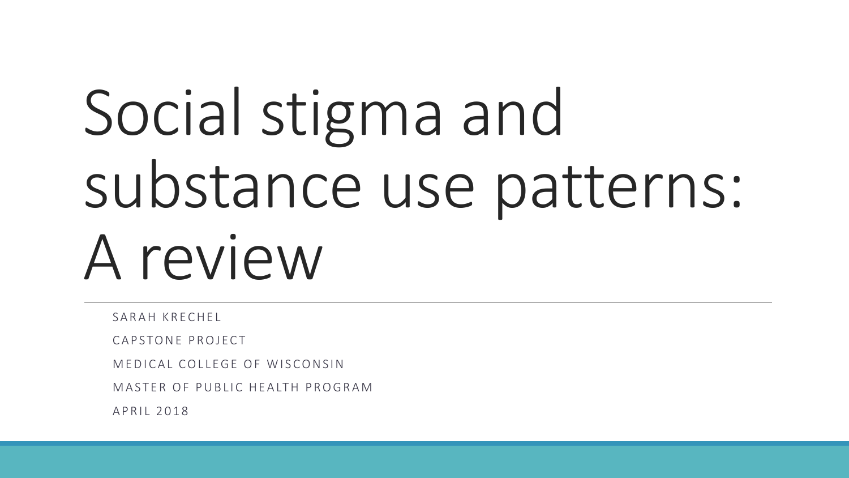# Social stigma and substance use patterns: A review

SARAH KRFCHFL

CAPSTONE PROJECT

M F D I CAL COLLEGE OF WISCONSIN

MASTER OF PUBLIC HEALTH PROGRAM

A P R I 1 2 0 1 8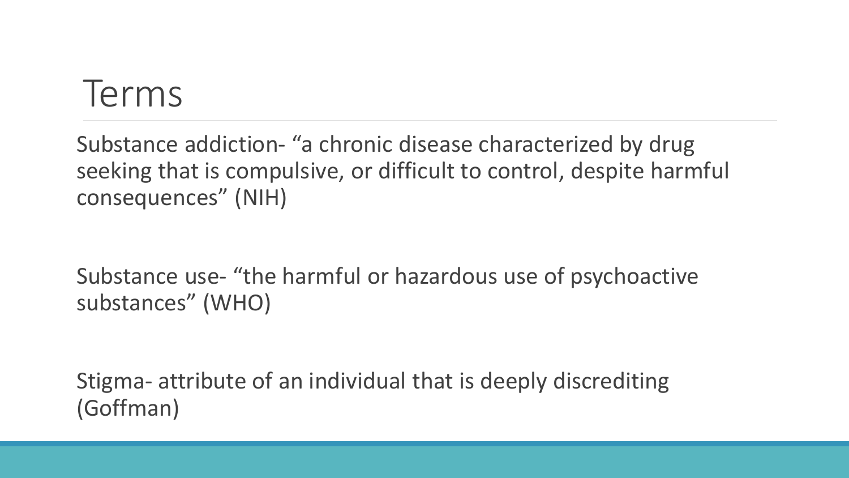### Terms

Substance addiction- "a chronic disease characterized by drug seeking that is compulsive, or difficult to control, despite harmful consequences" (NIH)

Substance use- "the harmful or hazardous use of psychoactive substances" (WHO)

Stigma- attribute of an individual that is deeply discrediting (Goffman)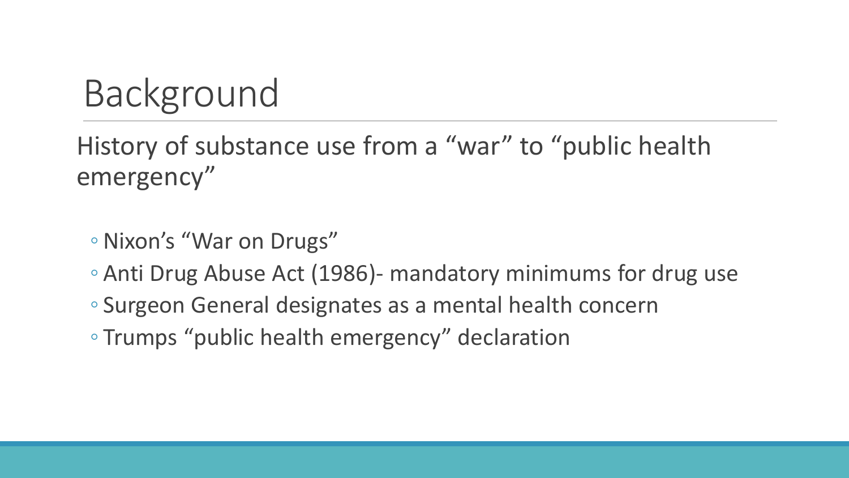# Background

History of substance use from a "war" to "public health emergency"

- ◦Nixon's "War on Drugs"
- Anti Drug Abuse Act (1986)- mandatory minimums for drug use
- Surgeon General designates as a mental health concern
- Trumps "public health emergency" declaration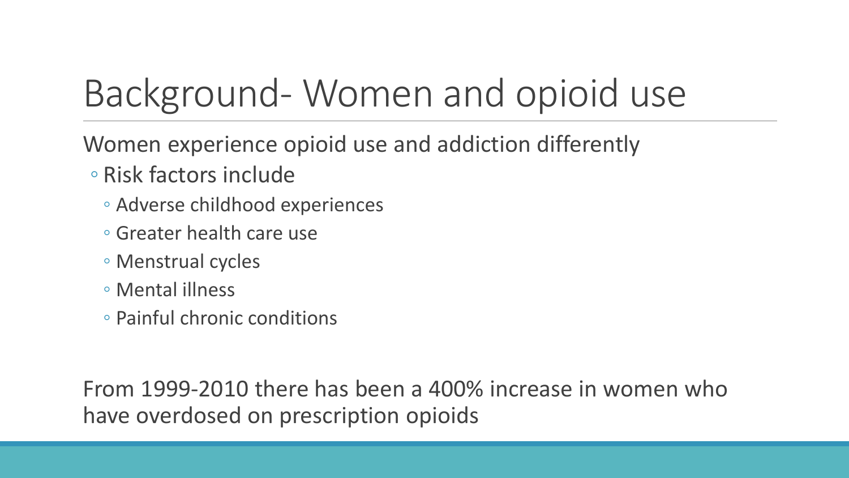# Background- Women and opioid use

Women experience opioid use and addiction differently

- Risk factors include
	- Adverse childhood experiences
	- Greater health care use
	- Menstrual cycles
	- Mental illness
	- Painful chronic conditions

From 1999-2010 there has been a 400% increase in women who have overdosed on prescription opioids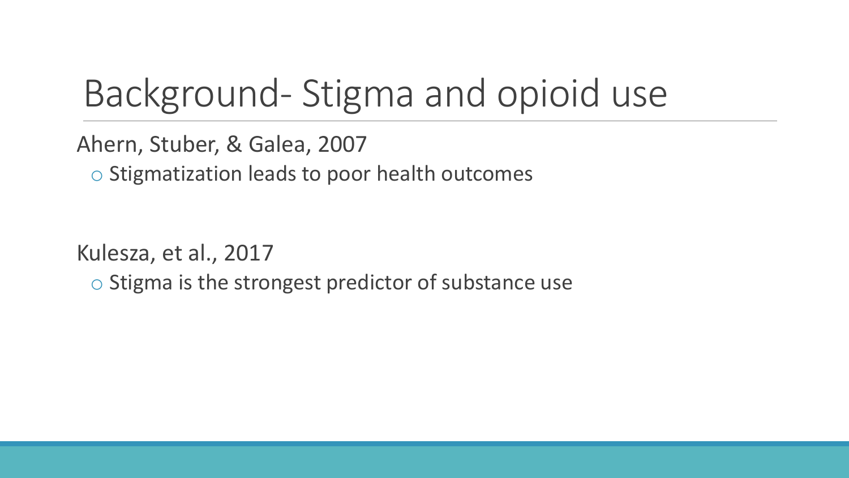# Background- Stigma and opioid use

Ahern, Stuber, & Galea, 2007

o Stigmatization leads to poor health outcomes

Kulesza, et al., 2017

o Stigma is the strongest predictor of substance use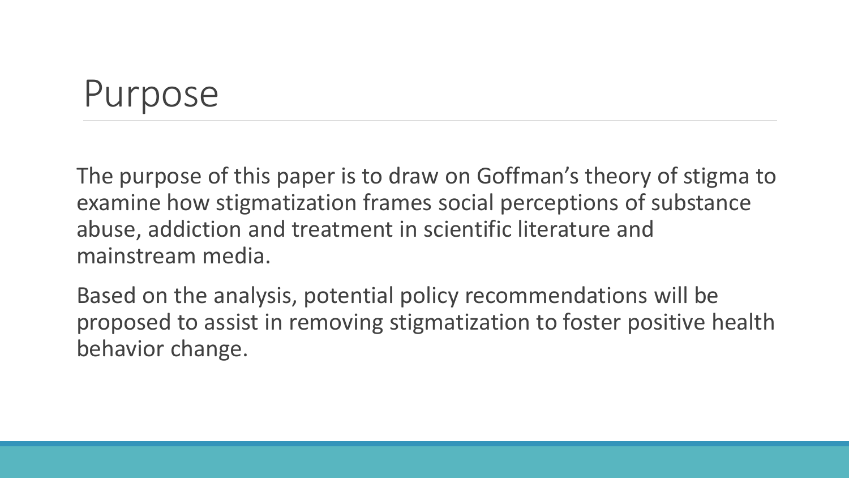### Purpose

The purpose of this paper is to draw on Goffman's theory of stigma to examine how stigmatization frames social perceptions of substance abuse, addiction and treatment in scientific literature and mainstream media.

Based on the analysis, potential policy recommendations will be proposed to assist in removing stigmatization to foster positive health behavior change.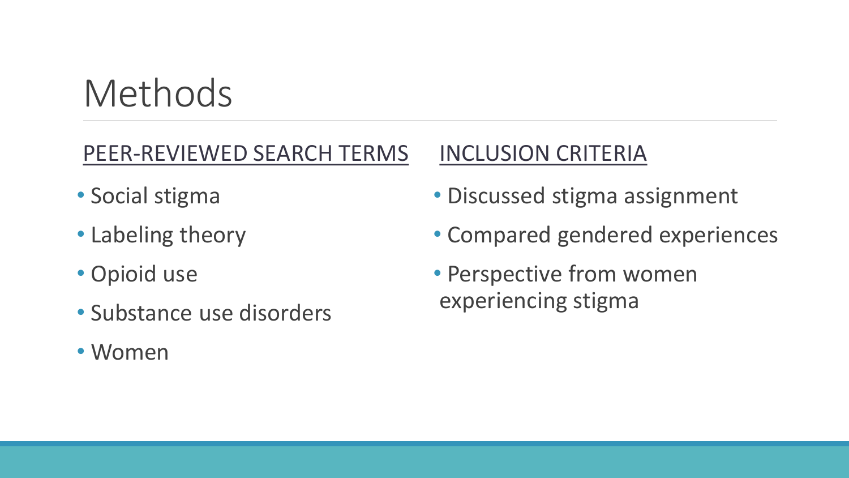# Methods

### PEER-REVIEWED SEARCH TERMS

- Social stigma
- Labeling theory
- Opioid use
- Substance use disorders
- Women

### INCLUSION CRITERIA

- Discussed stigma assignment
- Compared gendered experiences
- Perspective from women experiencing stigma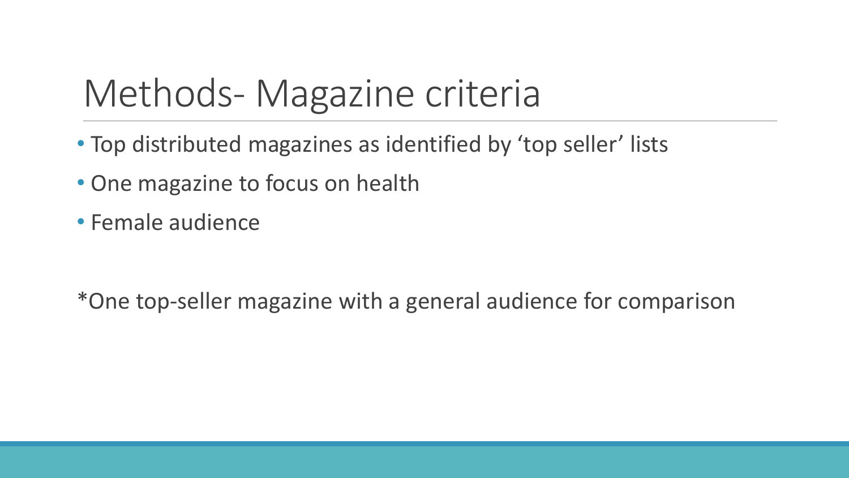# Methods- Magazine criteria

- Top distributed magazines as identified by 'top seller' lists
- One magazine to focus on health
- Female audience

\*One top-seller magazine with a general audience for comparison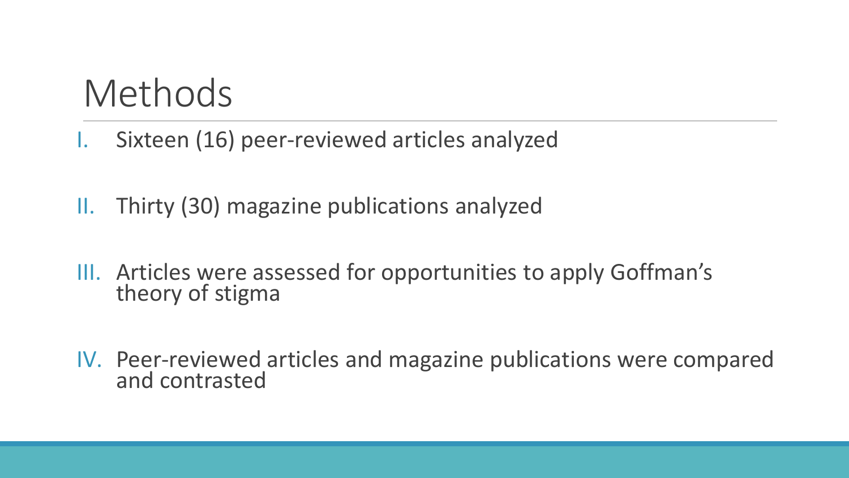### Methods

- Sixteen (16) peer-reviewed articles analyzed
- II. Thirty (30) magazine publications analyzed
- III. Articles were assessed for opportunities to apply Goffman's theory of stigma
- IV. Peer-reviewed articles and magazine publications were compared and contrasted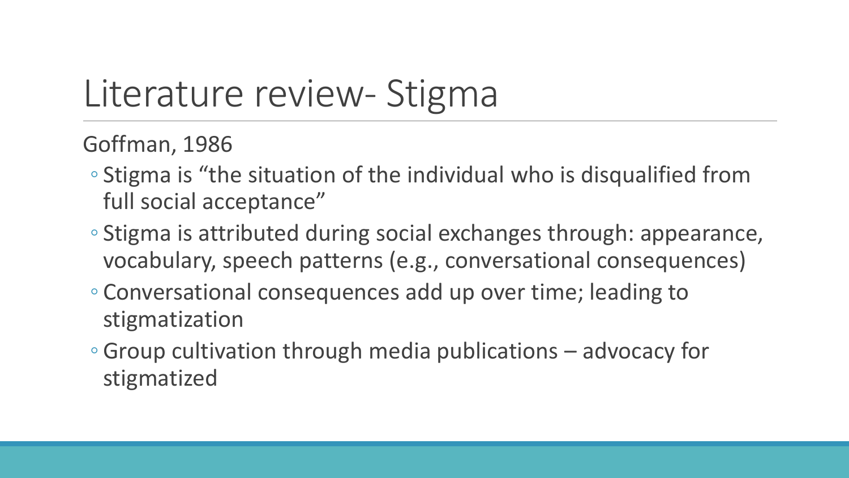# Literature review- Stigma

Goffman, 1986

- Stigma is "the situation of the individual who is disqualified from full social acceptance"
- Stigma is attributed during social exchanges through: appearance, vocabulary, speech patterns (e.g., conversational consequences)
- Conversational consequences add up over time; leading to stigmatization
- Group cultivation through media publications advocacy for stigmatized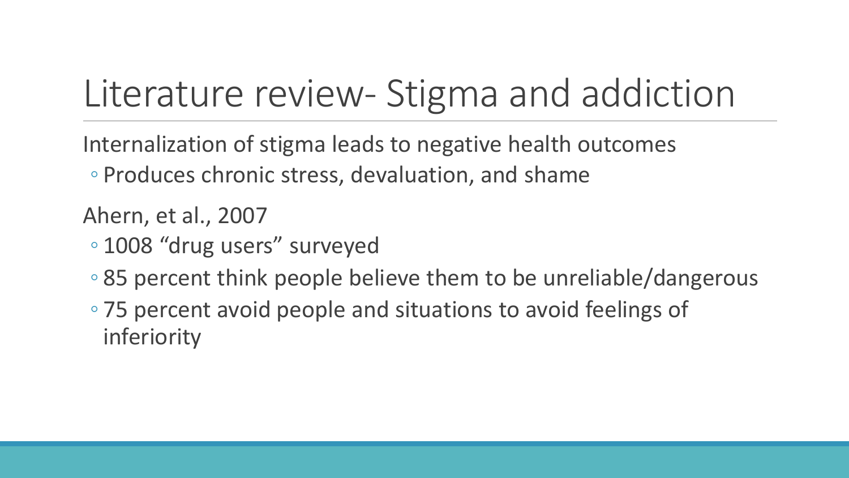# Literature review- Stigma and addiction

Internalization of stigma leads to negative health outcomes ◦ Produces chronic stress, devaluation, and shame

Ahern, et al., 2007

- 1008 "drug users" surveyed
- 85 percent think people believe them to be unreliable/dangerous
- 75 percent avoid people and situations to avoid feelings of inferiority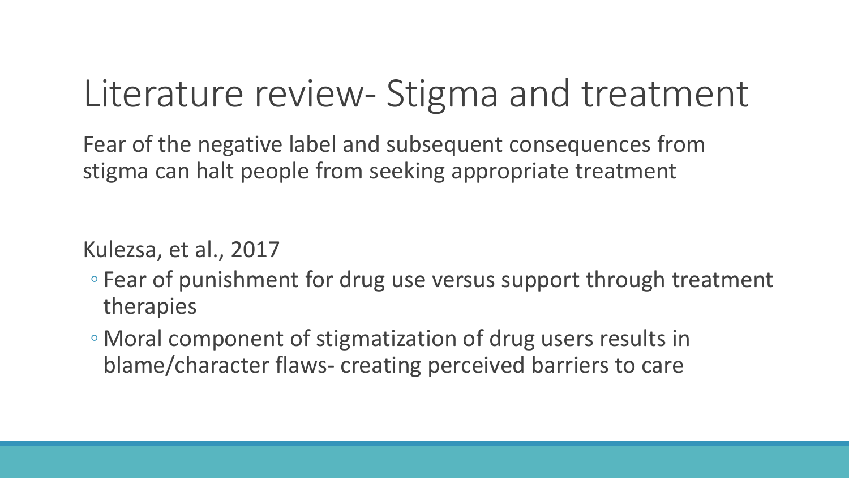# Literature review- Stigma and treatment

Fear of the negative label and subsequent consequences from stigma can halt people from seeking appropriate treatment

Kulezsa, et al., 2017

- Fear of punishment for drug use versus support through treatment therapies
- Moral component of stigmatization of drug users results in blame/character flaws- creating perceived barriers to care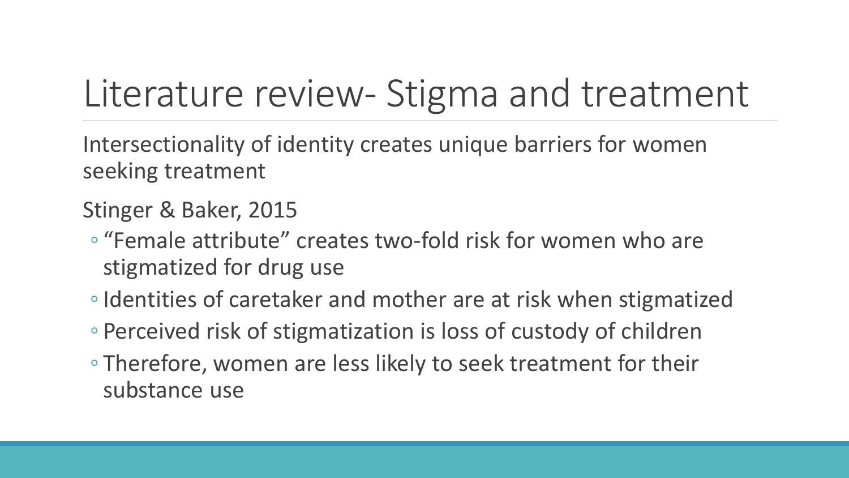# Literature review- Stigma and treatment

Intersectionality of identity creates unique barriers for women seeking treatment

Stinger & Baker, 2015

- "Female attribute" creates two-fold risk for women who are stigmatized for drug use
- ◦Identities of caretaker and mother are at risk when stigmatized
- Perceived risk of stigmatization is loss of custody of children
- Therefore, women are less likely to seek treatment for their substance use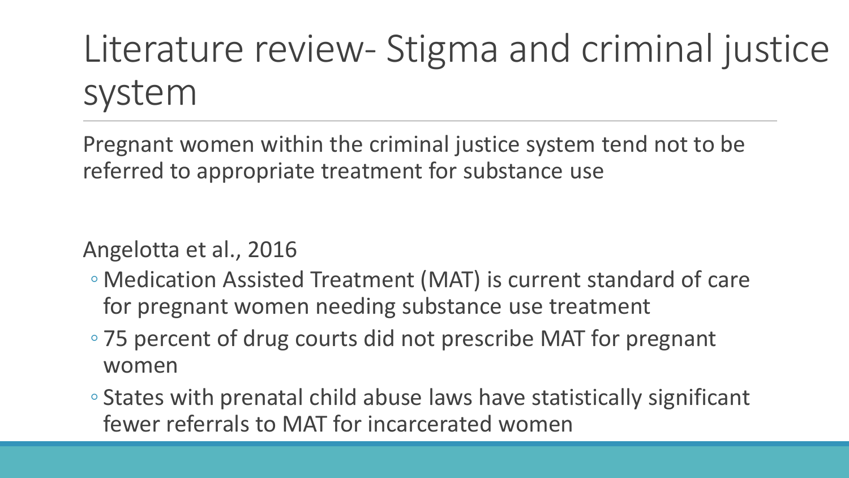# Literature review- Stigma and criminal justice system

Pregnant women within the criminal justice system tend not to be referred to appropriate treatment for substance use

Angelotta et al., 2016

- Medication Assisted Treatment (MAT) is current standard of care for pregnant women needing substance use treatment
- 75 percent of drug courts did not prescribe MAT for pregnant women
- States with prenatal child abuse laws have statistically significant fewer referrals to MAT for incarcerated women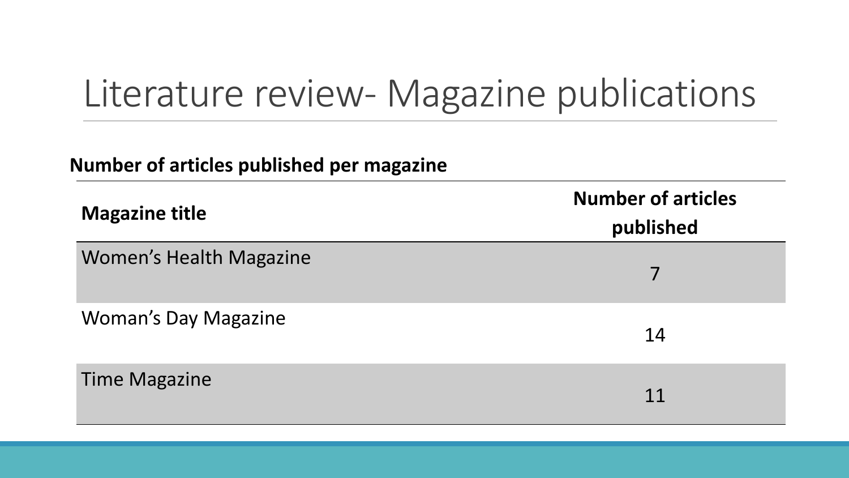## Literature review- Magazine publications

#### **Number of articles published per magazine**

| <b>Magazine title</b>          | <b>Number of articles</b><br>published |
|--------------------------------|----------------------------------------|
| <b>Women's Health Magazine</b> |                                        |
| <b>Woman's Day Magazine</b>    | 14                                     |
| <b>Time Magazine</b>           | 11                                     |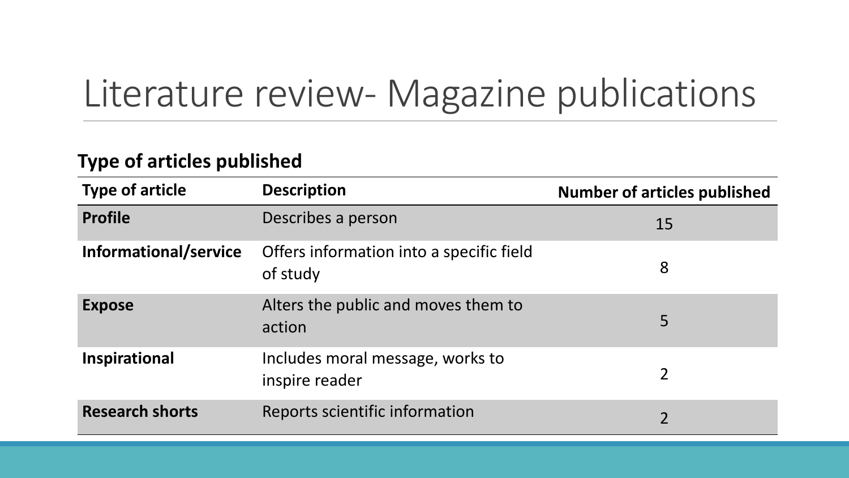# Literature review- Magazine publications

#### **Type of articles published**

| <b>Type of article</b> | <b>Description</b>                                   | <b>Number of articles published</b> |
|------------------------|------------------------------------------------------|-------------------------------------|
| <b>Profile</b>         | Describes a person                                   | 15                                  |
| Informational/service  | Offers information into a specific field<br>of study | 8                                   |
| <b>Expose</b>          | Alters the public and moves them to<br>action        | 5                                   |
| Inspirational          | Includes moral message, works to<br>inspire reader   | $\overline{2}$                      |
| <b>Research shorts</b> | Reports scientific information                       | $\overline{2}$                      |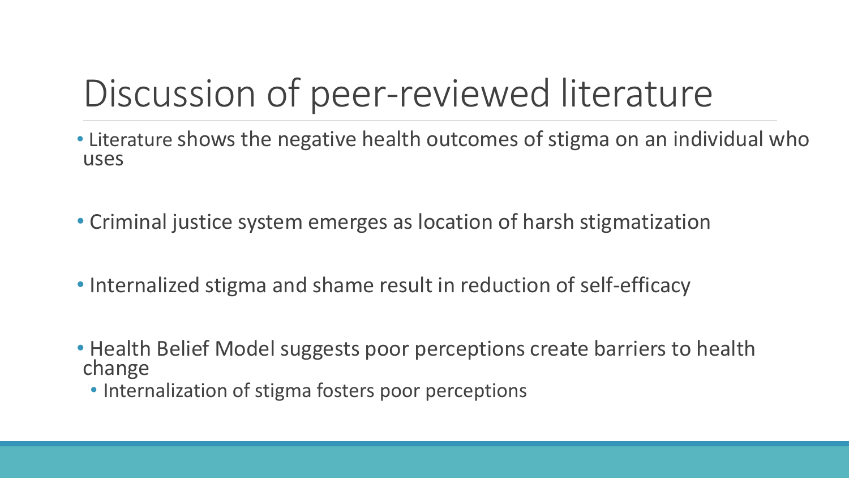# Discussion of peer-reviewed literature

- Literature shows the negative health outcomes of stigma on an individual who uses
- Criminal justice system emerges as location of harsh stigmatization
- Internalized stigma and shame result in reduction of self-efficacy
- Health Belief Model suggests poor perceptions create barriers to health change
	- Internalization of stigma fosters poor perceptions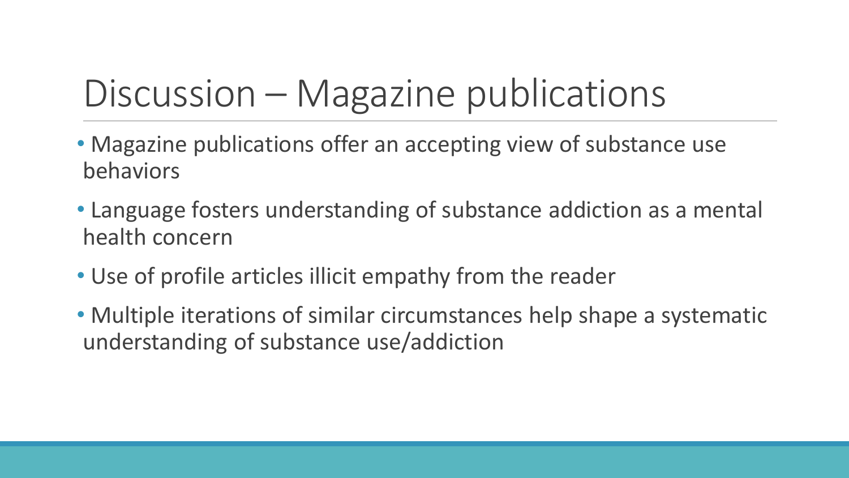# Discussion – Magazine publications

- Magazine publications offer an accepting view of substance use behaviors
- Language fosters understanding of substance addiction as a mental health concern
- Use of profile articles illicit empathy from the reader
- Multiple iterations of similar circumstances help shape a systematic understanding of substance use/addiction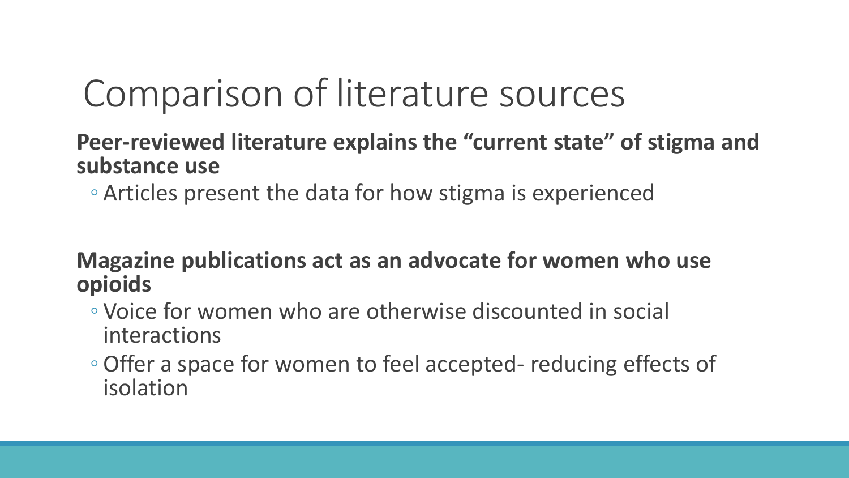# Comparison of literature sources

#### **Peer-reviewed literature explains the "current state" of stigma and substance use**

◦ Articles present the data for how stigma is experienced

#### **Magazine publications act as an advocate for women who use opioids**

- Voice for women who are otherwise discounted in social interactions
- ◦Offer a space for women to feel accepted- reducing effects of isolation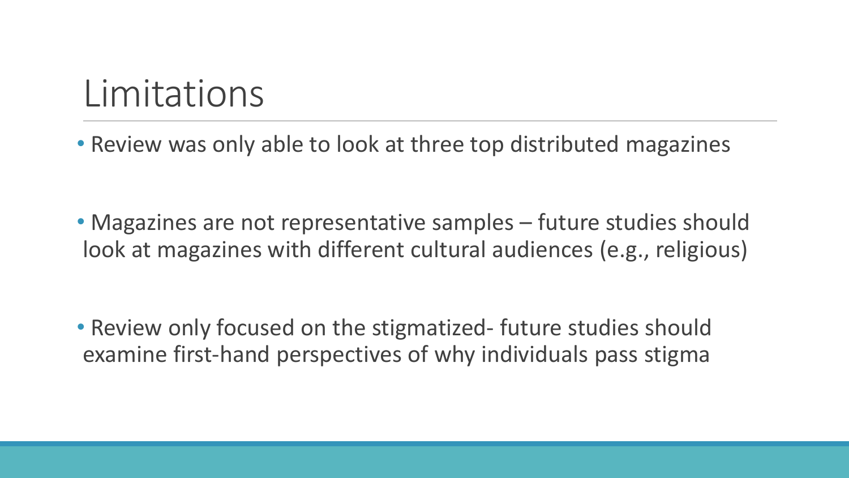### Limitations

• Review was only able to look at three top distributed magazines

• Magazines are not representative samples – future studies should look at magazines with different cultural audiences (e.g., religious)

• Review only focused on the stigmatized- future studies should examine first-hand perspectives of why individuals pass stigma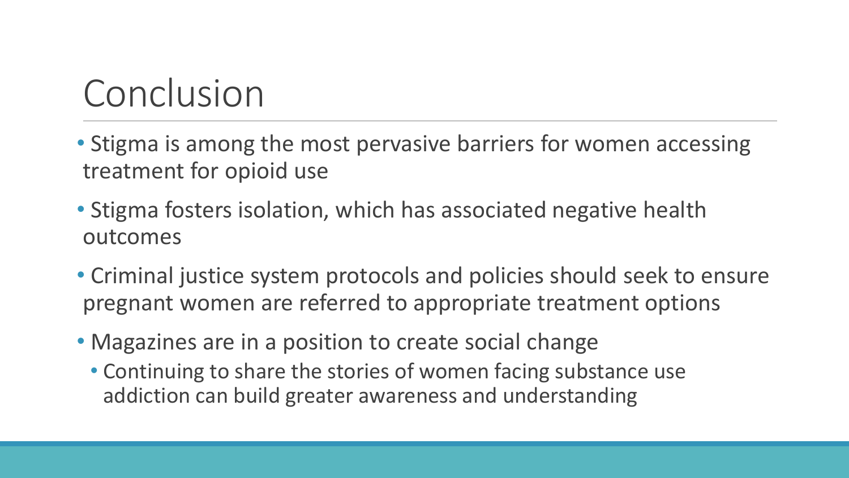# Conclusion

- Stigma is among the most pervasive barriers for women accessing treatment for opioid use
- Stigma fosters isolation, which has associated negative health outcomes
- Criminal justice system protocols and policies should seek to ensure pregnant women are referred to appropriate treatment options
- Magazines are in a position to create social change
	- Continuing to share the stories of women facing substance use addiction can build greater awareness and understanding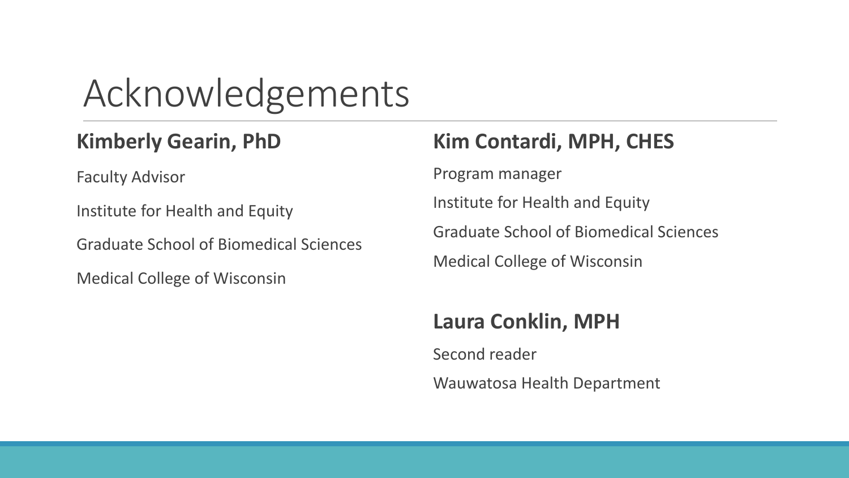### Acknowledgements

#### **Kimberly Gearin, PhD**

Faculty Advisor

Institute for Health and Equity

Graduate School of Biomedical Sciences

Medical College of Wisconsin

#### **Kim Contardi, MPH, CHES**

Program manager

Institute for Health and Equity

Graduate School of Biomedical Sciences

Medical College of Wisconsin

#### **Laura Conklin, MPH**

Second reader

Wauwatosa Health Department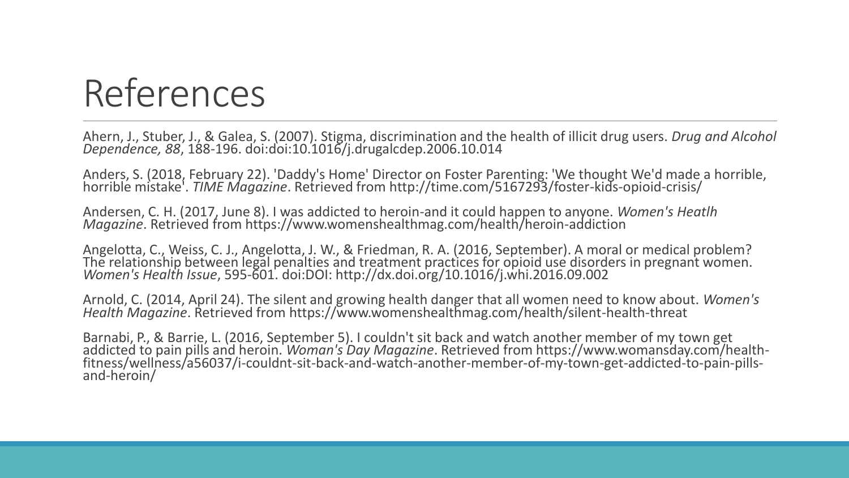Ahern, J., Stuber, J., & Galea, S. (2007). Stigma, discrimination and the health of illicit drug users. *Drug and Alcohol Dependence, 88*, 188-196. doi:doi:10.1016/j.drugalcdep.2006.10.014

Anders, S. (2018, February 22). 'Daddy's Home' Director on Foster Parenting: 'We thought We'd made a horrible, horrible mistake'. *TIME Magazine*. Retrieved from http://time.com/5167293/foster-kids-opioid-crisis/

Andersen, C. H. (2017, June 8). I was addicted to heroin-and it could happen to anyone. *Women's Heatlh Magazine*. Retrieved from https://www.womenshealthmag.com/health/heroin-addiction

Angelotta, C., Weiss, C. J., Angelotta, J. W., & Friedman, R. A. (2016, September). A moral or medical problem? The relationship between legal penalties and treatment practices for opioid use disorders in pregnant women. *Women's Health Issue*, 595-601. doi:DOI: http://dx.doi.org/10.1016/j.whi.2016.09.002

Arnold, C. (2014, April 24). The silent and growing health danger that all women need to know about. *Women's Health Magazine*. Retrieved from https://www.womenshealthmag.com/health/silent-health-threat

Barnabi, P., & Barrie, L. (2016, September 5). I couldn't sit back and watch another member of my town get addicted to pain pills and heroin. *Woman's Day Magazine*. Retrieved from https://www.womansday.com/healthfitness/wellness/a56037/i-couldnt-sit-back-and-watch-another-member-of-my-town-get-addicted-to-pain-pillsand-heroin/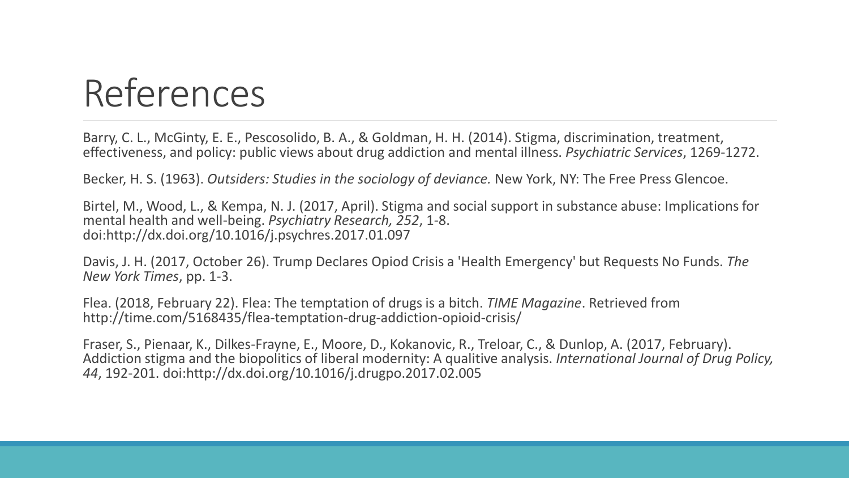Barry, C. L., McGinty, E. E., Pescosolido, B. A., & Goldman, H. H. (2014). Stigma, discrimination, treatment, effectiveness, and policy: public views about drug addiction and mental illness. *Psychiatric Services*, 1269-1272.

Becker, H. S. (1963). *Outsiders: Studies in the sociology of deviance.* New York, NY: The Free Press Glencoe.

Birtel, M., Wood, L., & Kempa, N. J. (2017, April). Stigma and social support in substance abuse: Implications for mental health and well-being. *Psychiatry Research, 252*, 1-8. doi:http://dx.doi.org/10.1016/j.psychres.2017.01.097

Davis, J. H. (2017, October 26). Trump Declares Opiod Crisis a 'Health Emergency' but Requests No Funds. *The New York Times*, pp. 1-3.

Flea. (2018, February 22). Flea: The temptation of drugs is a bitch. *TIME Magazine*. Retrieved from http://time.com/5168435/flea-temptation-drug-addiction-opioid-crisis/

Fraser, S., Pienaar, K., Dilkes-Frayne, E., Moore, D., Kokanovic, R., Treloar, C., & Dunlop, A. (2017, February). Addiction stigma and the biopolitics of liberal modernity: A qualitive analysis. *International Journal of Drug Policy, 44*, 192-201. doi:http://dx.doi.org/10.1016/j.drugpo.2017.02.005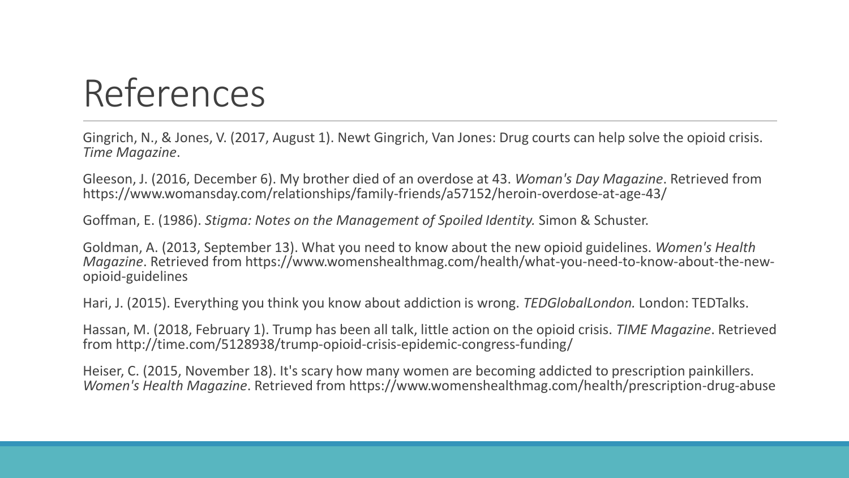Gingrich, N., & Jones, V. (2017, August 1). Newt Gingrich, Van Jones: Drug courts can help solve the opioid crisis. *Time Magazine*.

Gleeson, J. (2016, December 6). My brother died of an overdose at 43. *Woman's Day Magazine*. Retrieved from https://www.womansday.com/relationships/family-friends/a57152/heroin-overdose-at-age-43/

Goffman, E. (1986). *Stigma: Notes on the Management of Spoiled Identity.* Simon & Schuster.

Goldman, A. (2013, September 13). What you need to know about the new opioid guidelines. *Women's Health Magazine*. Retrieved from https://www.womenshealthmag.com/health/what-you-need-to-know-about-the-newopioid-guidelines

Hari, J. (2015). Everything you think you know about addiction is wrong. *TEDGlobalLondon.* London: TEDTalks.

Hassan, M. (2018, February 1). Trump has been all talk, little action on the opioid crisis. *TIME Magazine*. Retrieved from http://time.com/5128938/trump-opioid-crisis-epidemic-congress-funding/

Heiser, C. (2015, November 18). It's scary how many women are becoming addicted to prescription painkillers. *Women's Health Magazine*. Retrieved from https://www.womenshealthmag.com/health/prescription-drug-abuse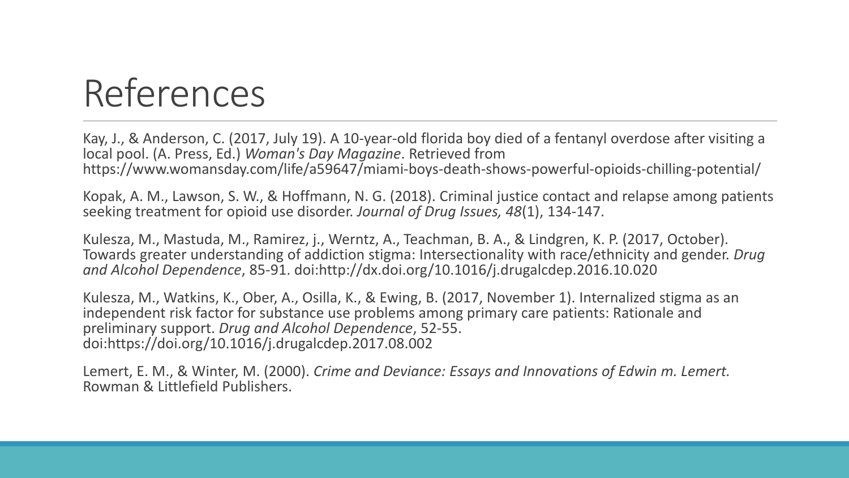Kay, J., & Anderson, C. (2017, July 19). A 10-year-old florida boy died of a fentanyl overdose after visiting a local pool. (A. Press, Ed.) *Woman's Day Magazine*. Retrieved from https://www.womansday.com/life/a59647/miami-boys-death-shows-powerful-opioids-chilling-potential/

Kopak, A. M., Lawson, S. W., & Hoffmann, N. G. (2018). Criminal justice contact and relapse among patients seeking treatment for opioid use disorder. *Journal of Drug Issues, 48*(1), 134-147.

Kulesza, M., Mastuda, M., Ramirez, j., Werntz, A., Teachman, B. A., & Lindgren, K. P. (2017, October). Towards greater understanding of addiction stigma: Intersectionality with race/ethnicity and gender. *Drug and Alcohol Dependence*, 85-91. doi:http://dx.doi.org/10.1016/j.drugalcdep.2016.10.020

Kulesza, M., Watkins, K., Ober, A., Osilla, K., & Ewing, B. (2017, November 1). Internalized stigma as an independent risk factor for substance use problems among primary care patients: Rationale and preliminary support. *Drug and Alcohol Dependence*, 52-55. doi:https://doi.org/10.1016/j.drugalcdep.2017.08.002

Lemert, E. M., & Winter, M. (2000). *Crime and Deviance: Essays and Innovations of Edwin m. Lemert.* Rowman & Littlefield Publishers.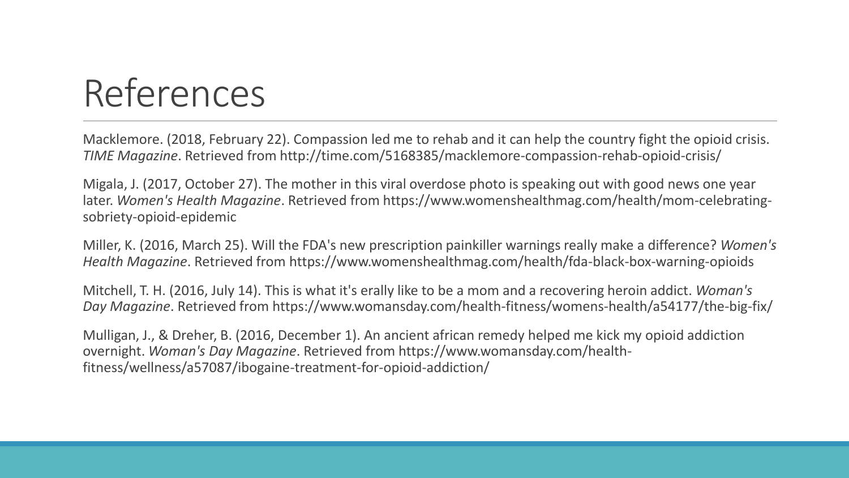Macklemore. (2018, February 22). Compassion led me to rehab and it can help the country fight the opioid crisis. *TIME Magazine*. Retrieved from http://time.com/5168385/macklemore-compassion-rehab-opioid-crisis/

Migala, J. (2017, October 27). The mother in this viral overdose photo is speaking out with good news one year later. *Women's Health Magazine*. Retrieved from https://www.womenshealthmag.com/health/mom-celebratingsobriety-opioid-epidemic

Miller, K. (2016, March 25). Will the FDA's new prescription painkiller warnings really make a difference? *Women's Health Magazine*. Retrieved from https://www.womenshealthmag.com/health/fda-black-box-warning-opioids

Mitchell, T. H. (2016, July 14). This is what it's erally like to be a mom and a recovering heroin addict. *Woman's Day Magazine*. Retrieved from https://www.womansday.com/health-fitness/womens-health/a54177/the-big-fix/

Mulligan, J., & Dreher, B. (2016, December 1). An ancient african remedy helped me kick my opioid addiction overnight. *Woman's Day Magazine*. Retrieved from https://www.womansday.com/healthfitness/wellness/a57087/ibogaine-treatment-for-opioid-addiction/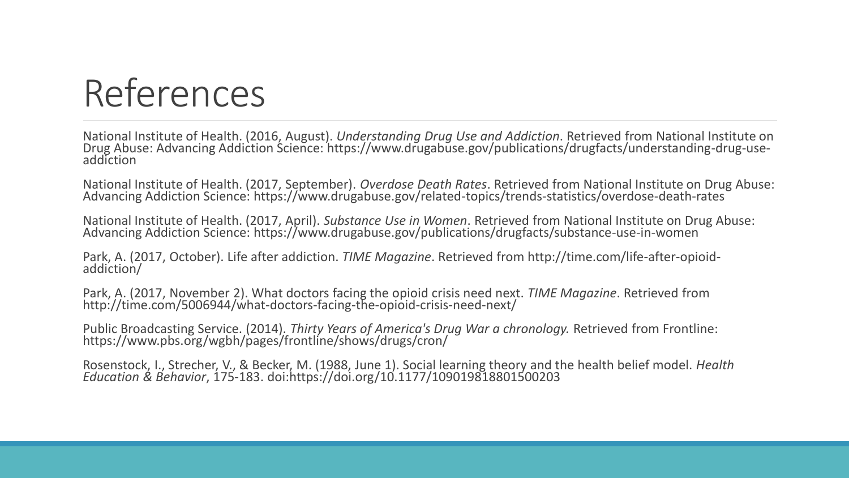National Institute of Health. (2016, August). *Understanding Drug Use and Addiction*. Retrieved from National Institute on Drug Abuse: Advancing Addiction Science: https://www.drugabuse.gov/publications/drugfacts/understanding-drug-useaddiction

National Institute of Health. (2017, September). *Overdose Death Rates*. Retrieved from National Institute on Drug Abuse: Advancing Addiction Science: https://www.drugabuse.gov/related-topics/trends-statistics/overdose-death-rates

National Institute of Health. (2017, April). *Substance Use in Women*. Retrieved from National Institute on Drug Abuse: Advancing Addiction Science: https://www.drugabuse.gov/publications/drugfacts/substance-use-in-women

Park, A. (2017, October). Life after addiction. *TIME Magazine*. Retrieved from http://time.com/life-after-opioidaddiction/

Park, A. (2017, November 2). What doctors facing the opioid crisis need next. *TIME Magazine*. Retrieved from http://time.com/5006944/what-doctors-facing-the-opioid-crisis-need-next/

Public Broadcasting Service. (2014). *Thirty Years of America's Drug War a chronology.* Retrieved from Frontline: https://www.pbs.org/wgbh/pages/frontline/shows/drugs/cron/

Rosenstock, I., Strecher, V., & Becker, M. (1988, June 1). Social learning theory and the health belief model. *Health Education & Behavior*, 175-183. doi:https://doi.org/10.1177/109019818801500203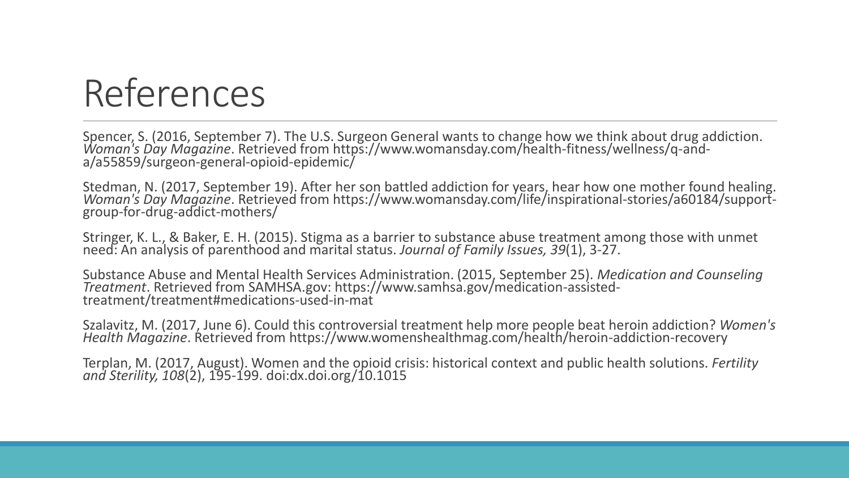Spencer, S. (2016, September 7). The U.S. Surgeon General wants to change how we think about drug addiction. *Woman's Day Magazine*. Retrieved from https://www.womansday.com/health-fitness/wellness/q-anda/a55859/surgeon-general-opioid-epidemic/

Stedman, N. (2017, September 19). After her son battled addiction for years, hear how one mother found healing. *Woman's Day Magazine*. Retrieved from https://www.womansday.com/life/inspirational-stories/a60184/supportgroup-for-drug-addict-mothers/

Stringer, K. L., & Baker, E. H. (2015). Stigma as a barrier to substance abuse treatment among those with unmet need: An analysis of parenthood and marital status. *Journal of Family Issues, 39*(1), 3-27.

Substance Abuse and Mental Health Services Administration. (2015, September 25). *Medication and Counseling Treatment*. Retrieved from SAMHSA.gov: https://www.samhsa.gov/medication-assistedtreatment/treatment#medications-used-in-mat

Szalavitz, M. (2017, June 6). Could this controversial treatment help more people beat heroin addiction? *Women's Health Magazine*. Retrieved from https://www.womenshealthmag.com/health/heroin-addiction-recovery

Terplan, M. (2017, August). Women and the opioid crisis: historical context and public health solutions. *Fertility and Sterility, 108*(2), 195-199. doi:dx.doi.org/10.1015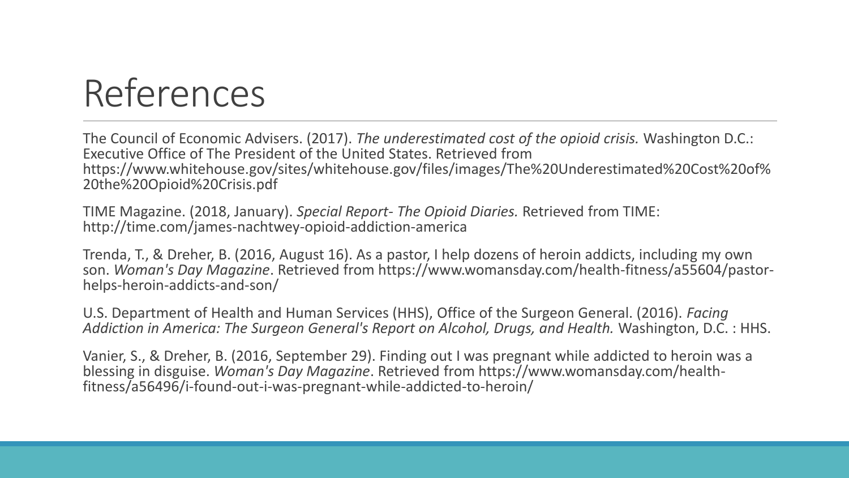The Council of Economic Advisers. (2017). *The underestimated cost of the opioid crisis.* Washington D.C.: Executive Office of The President of the United States. Retrieved from https://www.whitehouse.gov/sites/whitehouse.gov/files/images/The%20Underestimated%20Cost%20of% 20the%20Opioid%20Crisis.pdf

TIME Magazine. (2018, January). *Special Report- The Opioid Diaries.* Retrieved from TIME: http://time.com/james-nachtwey-opioid-addiction-america

Trenda, T., & Dreher, B. (2016, August 16). As a pastor, I help dozens of heroin addicts, including my own son. *Woman's Day Magazine*. Retrieved from https://www.womansday.com/health-fitness/a55604/pastorhelps-heroin-addicts-and-son/

U.S. Department of Health and Human Services (HHS), Office of the Surgeon General. (2016). *Facing Addiction in America: The Surgeon General's Report on Alcohol, Drugs, and Health.* Washington, D.C. : HHS.

Vanier, S., & Dreher, B. (2016, September 29). Finding out I was pregnant while addicted to heroin was a blessing in disguise. *Woman's Day Magazine*. Retrieved from https://www.womansday.com/healthfitness/a56496/i-found-out-i-was-pregnant-while-addicted-to-heroin/